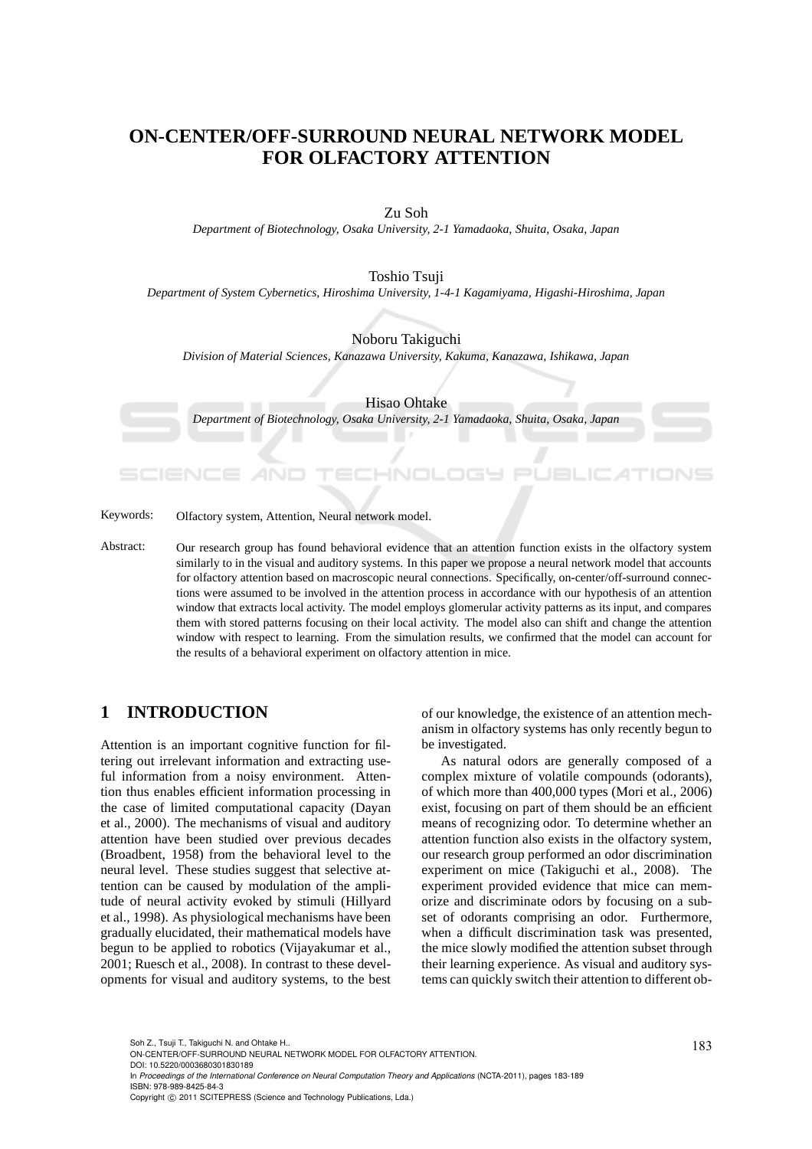# **ON-CENTER/OFF-SURROUND NEURAL NETWORK MODEL FOR OLFACTORY ATTENTION**

#### Zu Soh

*Department of Biotechnology, Osaka University, 2-1 Yamadaoka, Shuita, Osaka, Japan*

#### Toshio Tsuji

*Department of System Cybernetics, Hiroshima University, 1-4-1 Kagamiyama, Higashi-Hiroshima, Japan*

#### Noboru Takiguchi

*Division of Material Sciences, Kanazawa University, Kakuma, Kanazawa, Ishikawa, Japan*

Hisao Ohtake

*Department of Biotechnology, Osaka University, 2-1 Yamadaoka, Shuita, Osaka, Japan*

Keywords: Olfactory system, Attention, Neural network model.

Abstract: Our research group has found behavioral evidence that an attention function exists in the olfactory system similarly to in the visual and auditory systems. In this paper we propose a neural network model that accounts for olfactory attention based on macroscopic neural connections. Specifically, on-center/off-surround connections were assumed to be involved in the attention process in accordance with our hypothesis of an attention window that extracts local activity. The model employs glomerular activity patterns as its input, and compares them with stored patterns focusing on their local activity. The model also can shift and change the attention window with respect to learning. From the simulation results, we confirmed that the model can account for the results of a behavioral experiment on olfactory attention in mice.

## **1 INTRODUCTION**

Attention is an important cognitive function for filtering out irrelevant information and extracting useful information from a noisy environment. Attention thus enables efficient information processing in the case of limited computational capacity (Dayan et al., 2000). The mechanisms of visual and auditory attention have been studied over previous decades (Broadbent, 1958) from the behavioral level to the neural level. These studies suggest that selective attention can be caused by modulation of the amplitude of neural activity evoked by stimuli (Hillyard et al., 1998). As physiological mechanisms have been gradually elucidated, their mathematical models have begun to be applied to robotics (Vijayakumar et al., 2001; Ruesch et al., 2008). In contrast to these developments for visual and auditory systems, to the best of our knowledge, the existence of an attention mechanism in olfactory systems has only recently begun to be investigated.

As natural odors are generally composed of a complex mixture of volatile compounds (odorants), of which more than 400,000 types (Mori et al., 2006) exist, focusing on part of them should be an efficient means of recognizing odor. To determine whether an attention function also exists in the olfactory system, our research group performed an odor discrimination experiment on mice (Takiguchi et al., 2008). The experiment provided evidence that mice can memorize and discriminate odors by focusing on a subset of odorants comprising an odor. Furthermore, when a difficult discrimination task was presented, the mice slowly modified the attention subset through their learning experience. As visual and auditory systems can quickly switch their attention to different ob-

In *Proceedings of the International Conference on Neural Computation Theory and Applications* (NCTA-2011), pages 183-189 ISBN: 978-989-8425-84-3

Soh Z., Tsuji T., Takiguchi N. and Ohtake H..<br>ON-CENTER/OFF-SURROUND NEURAL NETWORK MODEL FOR OLFACTORY ATTENTION. DOI: 10.5220/0003680301830189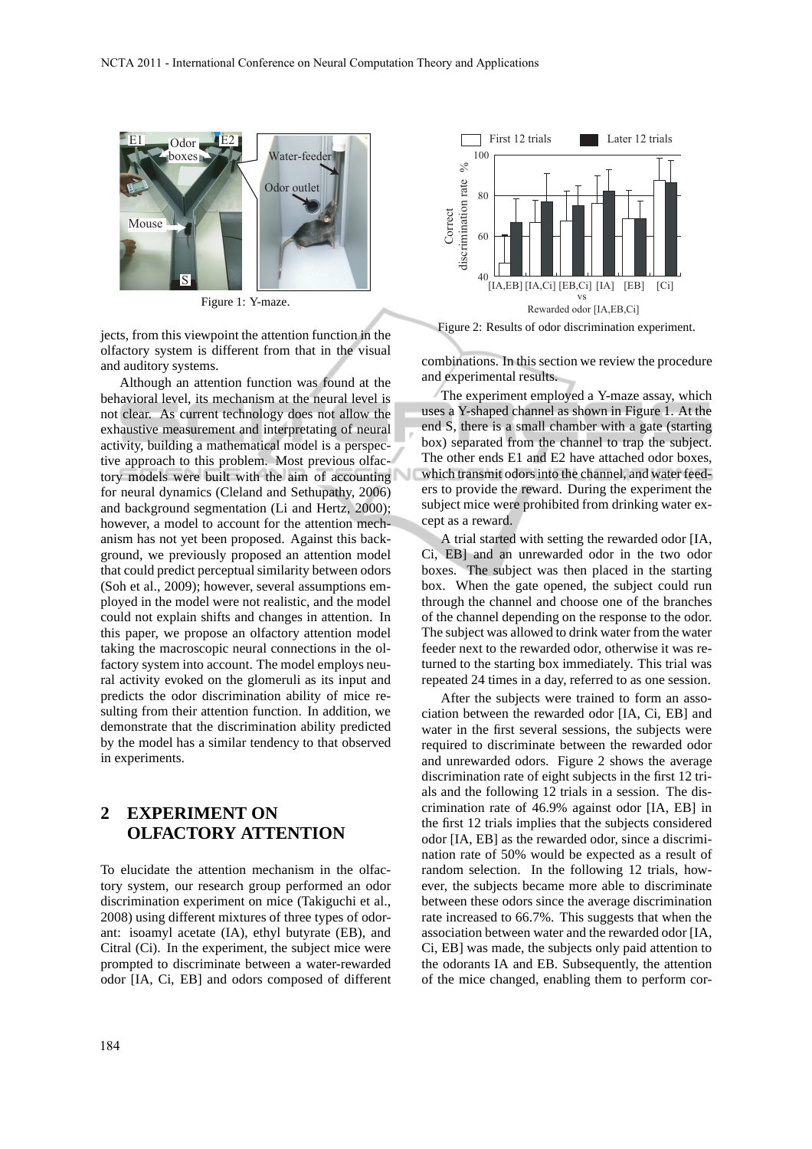

Figure 1: Y-maze.

jects, from this viewpoint the attention function in the olfactory system is different from that in the visual and auditory systems.

Although an attention function was found at the behavioral level, its mechanism at the neural level is not clear. As current technology does not allow the exhaustive measurement and interpretating of neural activity, building a mathematical model is a perspective approach to this problem. Most previous olfactory models were built with the aim of accounting for neural dynamics (Cleland and Sethupathy, 2006) and background segmentation (Li and Hertz, 2000); however, a model to account for the attention mechanism has not yet been proposed. Against this background, we previously proposed an attention model that could predict perceptual similarity between odors (Soh et al., 2009); however, several assumptions employed in the model were not realistic, and the model could not explain shifts and changes in attention. In this paper, we propose an olfactory attention model taking the macroscopic neural connections in the olfactory system into account. The model employs neural activity evoked on the glomeruli as its input and predicts the odor discrimination ability of mice resulting from their attention function. In addition, we demonstrate that the discrimination ability predicted by the model has a similar tendency to that observed in experiments.

## **2 EXPERIMENT ON OLFACTORY ATTENTION**

To elucidate the attention mechanism in the olfactory system, our research group performed an odor discrimination experiment on mice (Takiguchi et al., 2008) using different mixtures of three types of odorant: isoamyl acetate (IA), ethyl butyrate (EB), and Citral (Ci). In the experiment, the subject mice were prompted to discriminate between a water-rewarded odor [IA, Ci, EB] and odors composed of different



combinations. In this section we review the procedure and experimental results.

The experiment employed a Y-maze assay, which uses a Y-shaped channel as shown in Figure 1. At the end S, there is a small chamber with a gate (starting box) separated from the channel to trap the subject. The other ends E1 and E2 have attached odor boxes, which transmit odors into the channel, and water feeders to provide the reward. During the experiment the subject mice were prohibited from drinking water except as a reward.

A trial started with setting the rewarded odor [IA, Ci, EB] and an unrewarded odor in the two odor boxes. The subject was then placed in the starting box. When the gate opened, the subject could run through the channel and choose one of the branches of the channel depending on the response to the odor. The subject was allowed to drink water from the water feeder next to the rewarded odor, otherwise it was returned to the starting box immediately. This trial was repeated 24 times in a day, referred to as one session.

After the subjects were trained to form an association between the rewarded odor [IA, Ci, EB] and water in the first several sessions, the subjects were required to discriminate between the rewarded odor and unrewarded odors. Figure 2 shows the average discrimination rate of eight subjects in the first 12 trials and the following 12 trials in a session. The discrimination rate of 46.9% against odor [IA, EB] in the first 12 trials implies that the subjects considered odor [IA, EB] as the rewarded odor, since a discrimination rate of 50% would be expected as a result of random selection. In the following 12 trials, however, the subjects became more able to discriminate between these odors since the average discrimination rate increased to 66.7%. This suggests that when the association between water and the rewarded odor [IA, Ci, EB] was made, the subjects only paid attention to the odorants IA and EB. Subsequently, the attention of the mice changed, enabling them to perform cor-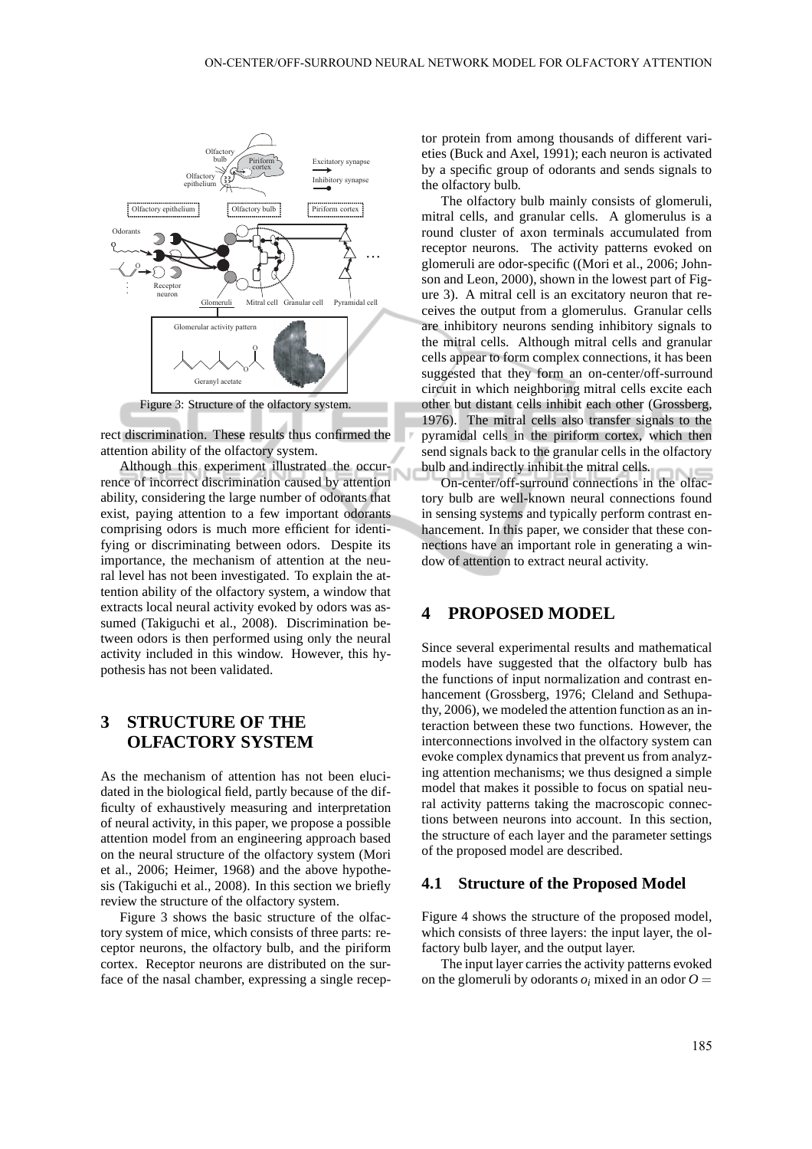

rect discrimination. These results thus confirmed the attention ability of the olfactory system.

Although this experiment illustrated the occurrence of incorrect discrimination caused by attention ability, considering the large number of odorants that exist, paying attention to a few important odorants comprising odors is much more efficient for identifying or discriminating between odors. Despite its importance, the mechanism of attention at the neural level has not been investigated. To explain the attention ability of the olfactory system, a window that extracts local neural activity evoked by odors was assumed (Takiguchi et al., 2008). Discrimination between odors is then performed using only the neural activity included in this window. However, this hypothesis has not been validated.

## **3 STRUCTURE OF THE OLFACTORY SYSTEM**

As the mechanism of attention has not been elucidated in the biological field, partly because of the difficulty of exhaustively measuring and interpretation of neural activity, in this paper, we propose a possible attention model from an engineering approach based on the neural structure of the olfactory system (Mori et al., 2006; Heimer, 1968) and the above hypothesis (Takiguchi et al., 2008). In this section we briefly review the structure of the olfactory system.

Figure 3 shows the basic structure of the olfactory system of mice, which consists of three parts: receptor neurons, the olfactory bulb, and the piriform cortex. Receptor neurons are distributed on the surface of the nasal chamber, expressing a single receptor protein from among thousands of different varieties (Buck and Axel, 1991); each neuron is activated by a specific group of odorants and sends signals to the olfactory bulb.

The olfactory bulb mainly consists of glomeruli, mitral cells, and granular cells. A glomerulus is a round cluster of axon terminals accumulated from receptor neurons. The activity patterns evoked on glomeruli are odor-specific ((Mori et al., 2006; Johnson and Leon, 2000), shown in the lowest part of Figure 3). A mitral cell is an excitatory neuron that receives the output from a glomerulus. Granular cells are inhibitory neurons sending inhibitory signals to the mitral cells. Although mitral cells and granular cells appear to form complex connections, it has been suggested that they form an on-center/off-surround circuit in which neighboring mitral cells excite each other but distant cells inhibit each other (Grossberg, 1976). The mitral cells also transfer signals to the pyramidal cells in the piriform cortex, which then send signals back to the granular cells in the olfactory bulb and indirectly inhibit the mitral cells.

On-center/off-surround connections in the olfactory bulb are well-known neural connections found in sensing systems and typically perform contrast enhancement. In this paper, we consider that these connections have an important role in generating a window of attention to extract neural activity.

### **4 PROPOSED MODEL**

Since several experimental results and mathematical models have suggested that the olfactory bulb has the functions of input normalization and contrast enhancement (Grossberg, 1976; Cleland and Sethupathy, 2006), we modeled the attention function as an interaction between these two functions. However, the interconnections involved in the olfactory system can evoke complex dynamics that prevent us from analyzing attention mechanisms; we thus designed a simple model that makes it possible to focus on spatial neural activity patterns taking the macroscopic connections between neurons into account. In this section, the structure of each layer and the parameter settings of the proposed model are described.

#### **4.1 Structure of the Proposed Model**

Figure 4 shows the structure of the proposed model, which consists of three layers: the input layer, the olfactory bulb layer, and the output layer.

The input layer carries the activity patterns evoked on the glomeruli by odorants  $o_i$  mixed in an odor  $O =$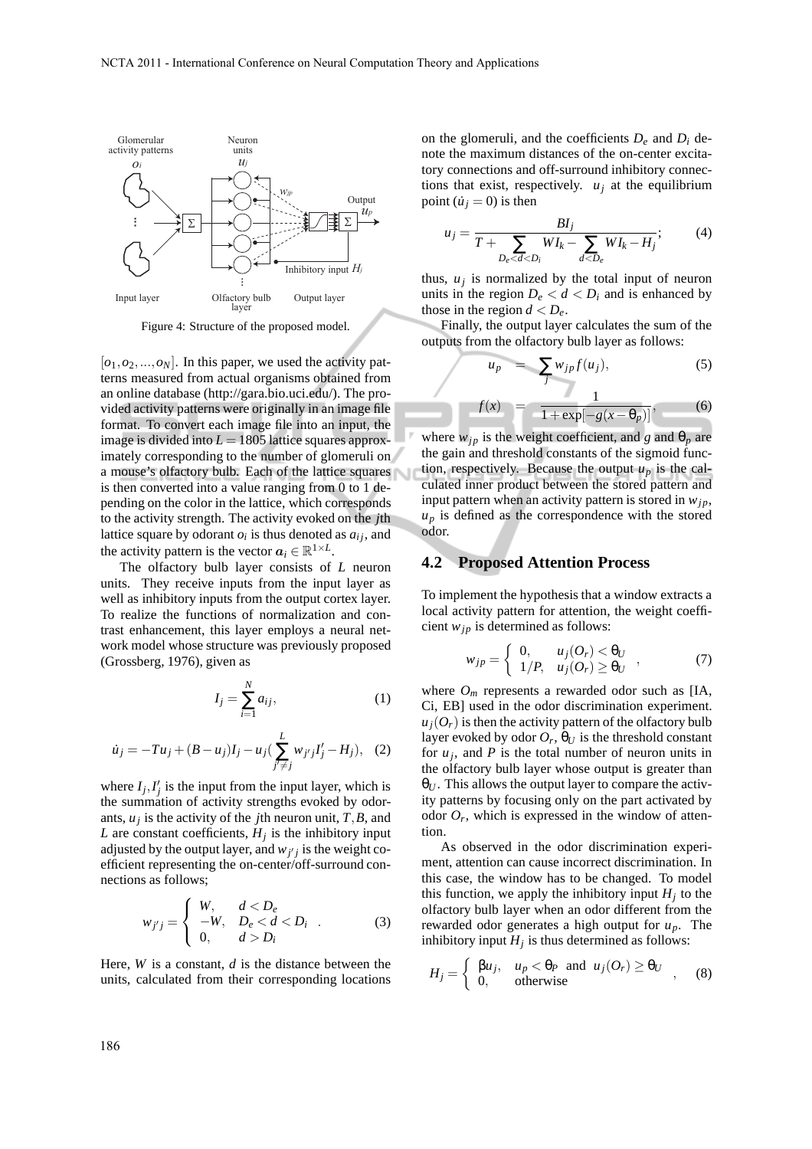

Figure 4: Structure of the proposed model.

 $[o_1, o_2, \ldots, o_N]$ . In this paper, we used the activity patterns measured from actual organisms obtained from an online database (http://gara.bio.uci.edu/). The provided activity patterns were originally in an image file format. To convert each image file into an input, the image is divided into  $L = 1805$  lattice squares approximately corresponding to the number of glomeruli on a mouse's olfactory bulb. Each of the lattice squares is then converted into a value ranging from 0 to 1 depending on the color in the lattice, which corresponds to the activity strength. The activity evoked on the *j*th lattice square by odorant  $o_i$  is thus denoted as  $a_{ij}$ , and the activity pattern is the vector  $a_i \in \mathbb{R}^{1 \times L}$ .

The olfactory bulb layer consists of *L* neuron units. They receive inputs from the input layer as well as inhibitory inputs from the output cortex layer. To realize the functions of normalization and contrast enhancement, this layer employs a neural network model whose structure was previously proposed (Grossberg, 1976), given as

$$
I_j = \sum_{i=1}^N a_{ij},\tag{1}
$$

$$
\dot{u}_j = -Tu_j + (B - u_j)I_j - u_j \left( \sum_{j' \neq j}^{L} w_{j'j} I'_j - H_j \right), \quad (2)
$$

where  $I_j$ ,  $I'_j$  is the input from the input layer, which is the summation of activity strengths evoked by odorants, *u<sup>j</sup>* is the activity of the *j*th neuron unit, *T*,*B*, and *L* are constant coefficients,  $H_j$  is the inhibitory input adjusted by the output layer, and  $w_{j'j}$  is the weight coefficient representing the on-center/off-surround connections as follows;

$$
w_{j'j} = \begin{cases} W, & d < D_e \\ -W, & D_e < d < D_i \\ 0, & d > D_i \end{cases} \tag{3}
$$

Here, *W* is a constant, *d* is the distance between the units, calculated from their corresponding locations on the glomeruli, and the coefficients  $D_e$  and  $D_i$  denote the maximum distances of the on-center excitatory connections and off-surround inhibitory connections that exist, respectively.  $u_i$  at the equilibrium point  $(i<sub>i</sub> = 0)$  is then

$$
u_j = \frac{BI_j}{T + \sum_{D_e < d < D_i} WI_k - \sum_{d < D_e} WI_k - H_j};\tag{4}
$$

thus,  $u_j$  is normalized by the total input of neuron units in the region  $D_e < d < D_i$  and is enhanced by those in the region  $d < D_e$ .

Finally, the output layer calculates the sum of the outputs from the olfactory bulb layer as follows:

$$
u_p = \sum_j w_{jp} f(u_j), \qquad (5)
$$

$$
f(x) = \frac{1}{1 + \exp[-g(x - \theta_p)]},
$$
 (6)

where  $w_{jp}$  is the weight coefficient, and *g* and  $\theta_p$  are the gain and threshold constants of the sigmoid function, respectively. Because the output  $u_p$  is the calculated inner product between the stored pattern and input pattern when an activity pattern is stored in  $w_{in}$ ,  $u_p$  is defined as the correspondence with the stored odor.

#### **4.2 Proposed Attention Process**

To implement the hypothesis that a window extracts a local activity pattern for attention, the weight coefficient  $w_{ip}$  is determined as follows:

$$
w_{jp} = \begin{cases} 0, & u_j(O_r) < \theta_U \\ 1/P, & u_j(O_r) \ge \theta_U \end{cases} , \qquad (7)
$$

where  $O_m$  represents a rewarded odor such as [IA, Ci, EB] used in the odor discrimination experiment.  $u_j(O_r)$  is then the activity pattern of the olfactory bulb layer evoked by odor  $O_r$ ,  $\theta_U$  is the threshold constant for  $u_j$ , and  $P$  is the total number of neuron units in the olfactory bulb layer whose output is greater than  $\theta_{U}$ . This allows the output layer to compare the activity patterns by focusing only on the part activated by odor  $O_r$ , which is expressed in the window of attention.

As observed in the odor discrimination experiment, attention can cause incorrect discrimination. In this case, the window has to be changed. To model this function, we apply the inhibitory input  $H_j$  to the olfactory bulb layer when an odor different from the rewarded odor generates a high output for *up*. The inhibitory input  $H_j$  is thus determined as follows:

$$
H_j = \begin{cases} \beta u_j, & u_p < \theta_P \text{ and } u_j(O_r) \ge \theta_U \\ 0, & \text{otherwise} \end{cases}
$$
, (8)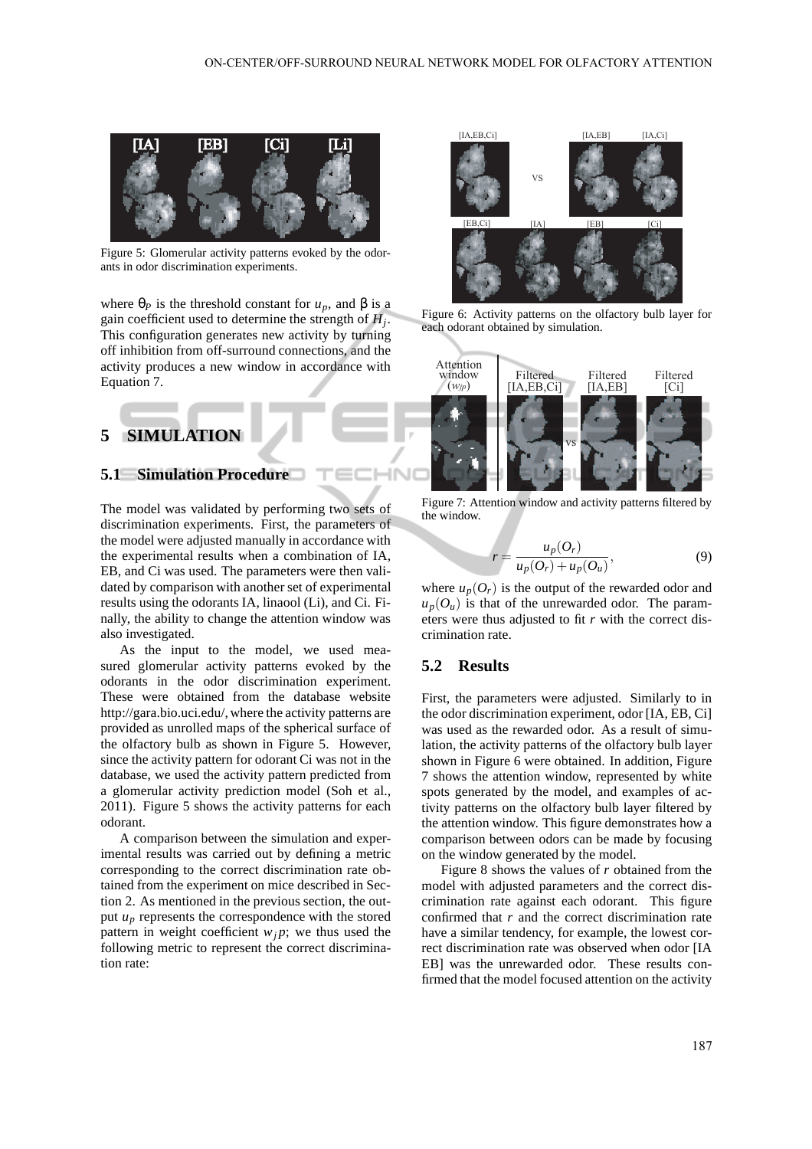

Figure 5: Glomerular activity patterns evoked by the odorants in odor discrimination experiments.

where  $\theta_P$  is the threshold constant for  $u_p$ , and  $\beta$  is a gain coefficient used to determine the strength of *H<sup>j</sup>* . This configuration generates new activity by turning off inhibition from off-surround connections, and the activity produces a new window in accordance with Equation 7.

# **5 SIMULATION**

## **5.1 Simulation Procedure**

The model was validated by performing two sets of discrimination experiments. First, the parameters of the model were adjusted manually in accordance with the experimental results when a combination of IA, EB, and Ci was used. The parameters were then validated by comparison with another set of experimental results using the odorants IA, linaool (Li), and Ci. Finally, the ability to change the attention window was also investigated.

As the input to the model, we used measured glomerular activity patterns evoked by the odorants in the odor discrimination experiment. These were obtained from the database website http://gara.bio.uci.edu/, where the activity patterns are provided as unrolled maps of the spherical surface of the olfactory bulb as shown in Figure 5. However, since the activity pattern for odorant Ci was not in the database, we used the activity pattern predicted from a glomerular activity prediction model (Soh et al., 2011). Figure 5 shows the activity patterns for each odorant.

A comparison between the simulation and experimental results was carried out by defining a metric corresponding to the correct discrimination rate obtained from the experiment on mice described in Section 2. As mentioned in the previous section, the output  $u_p$  represents the correspondence with the stored pattern in weight coefficient  $w_j$ ; we thus used the following metric to represent the correct discrimination rate:



Figure 6: Activity patterns on the olfactory bulb layer for each odorant obtained by simulation.



Figure 7: Attention window and activity patterns filtered by the window.

$$
r = \frac{u_p(O_r)}{u_p(O_r) + u_p(O_u)},\tag{9}
$$

where  $u_p(O_r)$  is the output of the rewarded odor and  $u_p(O_u)$  is that of the unrewarded odor. The parameters were thus adjusted to fit *r* with the correct discrimination rate.

#### **5.2 Results**

**INI** 

First, the parameters were adjusted. Similarly to in the odor discrimination experiment, odor [IA, EB, Ci] was used as the rewarded odor. As a result of simulation, the activity patterns of the olfactory bulb layer shown in Figure 6 were obtained. In addition, Figure 7 shows the attention window, represented by white spots generated by the model, and examples of activity patterns on the olfactory bulb layer filtered by the attention window. This figure demonstrates how a comparison between odors can be made by focusing on the window generated by the model.

Figure 8 shows the values of *r* obtained from the model with adjusted parameters and the correct discrimination rate against each odorant. This figure confirmed that *r* and the correct discrimination rate have a similar tendency, for example, the lowest correct discrimination rate was observed when odor [IA EB] was the unrewarded odor. These results confirmed that the model focused attention on the activity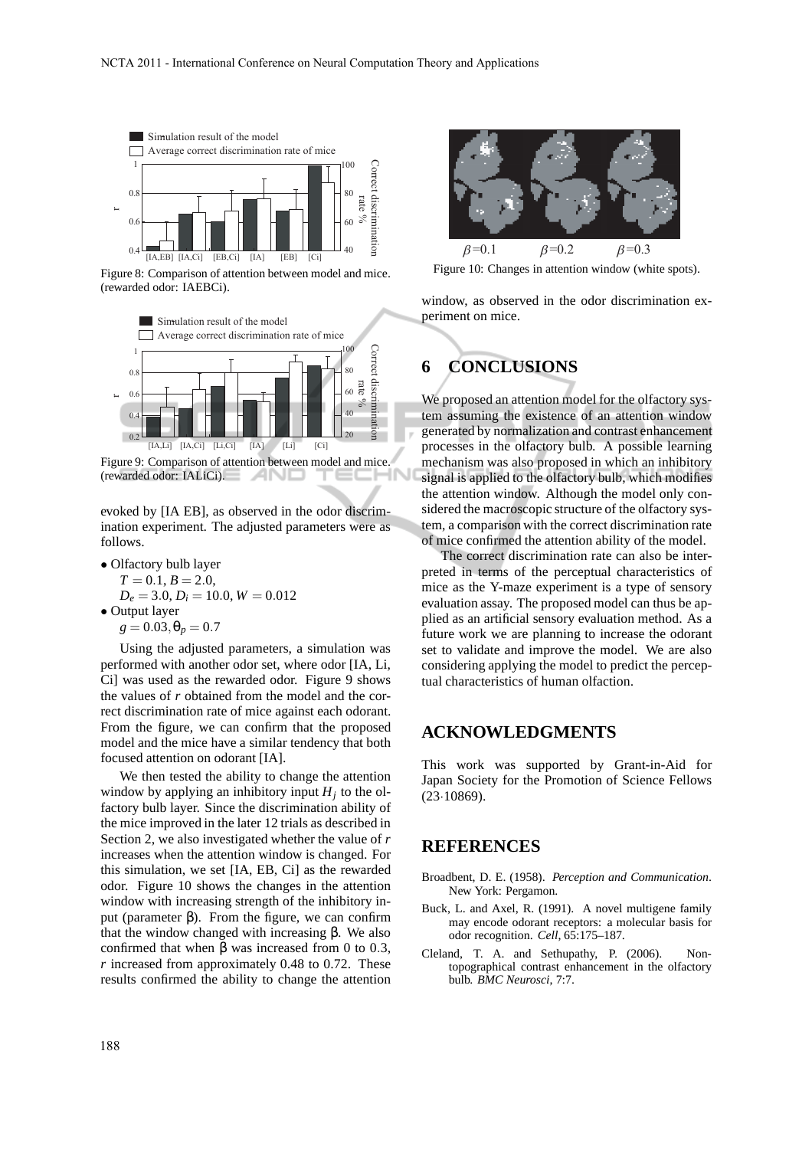

Figure 8: Comparison of attention between model and mice. (rewarded odor: IAEBCi).



(rewarded odor: IALiCi). - 200

evoked by [IA EB], as observed in the odor discrimination experiment. The adjusted parameters were as follows.

• Olfactory bulb layer  $T = 0.1, B = 2.0,$ 

 $D_e = 3.0, D_i = 10.0, W = 0.012$ • Output layer  $g = 0.03, \theta_p = 0.7$ 

Using the adjusted parameters, a simulation was performed with another odor set, where odor [IA, Li, Ci] was used as the rewarded odor. Figure 9 shows the values of *r* obtained from the model and the correct discrimination rate of mice against each odorant. From the figure, we can confirm that the proposed model and the mice have a similar tendency that both focused attention on odorant [IA].

We then tested the ability to change the attention window by applying an inhibitory input  $H_j$  to the olfactory bulb layer. Since the discrimination ability of the mice improved in the later 12 trials as described in Section 2, we also investigated whether the value of *r* increases when the attention window is changed. For this simulation, we set [IA, EB, Ci] as the rewarded odor. Figure 10 shows the changes in the attention window with increasing strength of the inhibitory input (parameter β). From the figure, we can confirm that the window changed with increasing β. We also confirmed that when β was increased from 0 to 0.3, *r* increased from approximately 0.48 to 0.72. These results confirmed the ability to change the attention



Figure 10: Changes in attention window (white spots).

window, as observed in the odor discrimination experiment on mice.

# **6 CONCLUSIONS**

We proposed an attention model for the olfactory system assuming the existence of an attention window generated by normalization and contrast enhancement processes in the olfactory bulb. A possible learning mechanism was also proposed in which an inhibitory signal is applied to the olfactory bulb, which modifies the attention window. Although the model only considered the macroscopic structure of the olfactory system, a comparison with the correct discrimination rate of mice confirmed the attention ability of the model.

The correct discrimination rate can also be interpreted in terms of the perceptual characteristics of mice as the Y-maze experiment is a type of sensory evaluation assay. The proposed model can thus be applied as an artificial sensory evaluation method. As a future work we are planning to increase the odorant set to validate and improve the model. We are also considering applying the model to predict the perceptual characteristics of human olfaction.

## **ACKNOWLEDGMENTS**

This work was supported by Grant-in-Aid for Japan Society for the Promotion of Science Fellows (23·10869).

### **REFERENCES**

- Broadbent, D. E. (1958). *Perception and Communication*. New York: Pergamon.
- Buck, L. and Axel, R. (1991). A novel multigene family may encode odorant receptors: a molecular basis for odor recognition. *Cell*, 65:175–187.
- Cleland, T. A. and Sethupathy, P. (2006). Nontopographical contrast enhancement in the olfactory bulb. *BMC Neurosci*, 7:7.